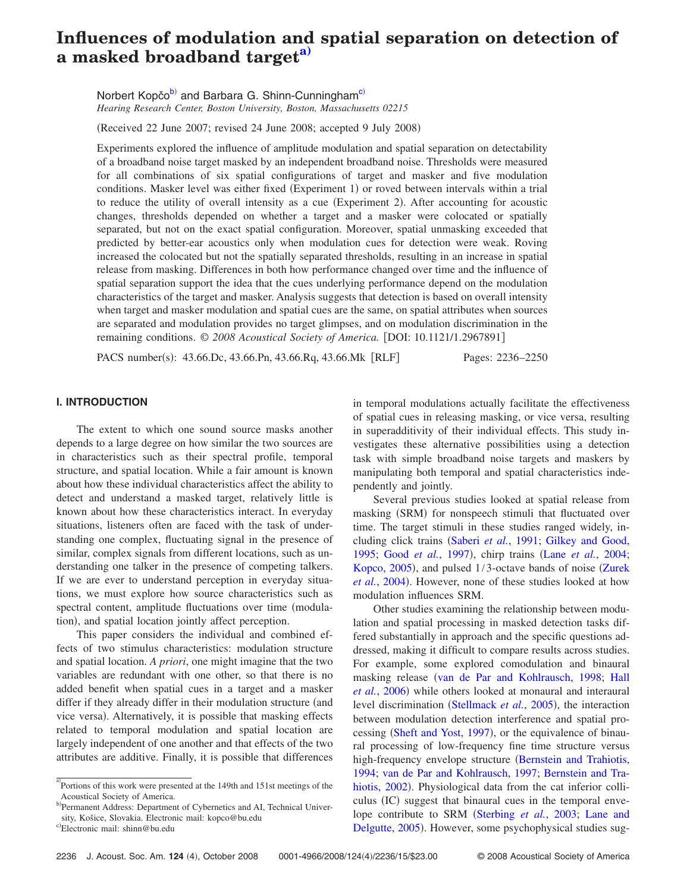# **Influences of modulation and spatial separation on detection of a masked broadband targe[ta\)](#page-0-0)**

Norbert Kopčo<sup>b)</sup> and Barbara G. Shinn-Cunningham<sup>c)</sup> *Hearing Research Center, Boston University, Boston, Massachusetts 02215*

(Received 22 June 2007; revised 24 June 2008; accepted 9 July 2008)

Experiments explored the influence of amplitude modulation and spatial separation on detectability of a broadband noise target masked by an independent broadband noise. Thresholds were measured for all combinations of six spatial configurations of target and masker and five modulation conditions. Masker level was either fixed (Experiment 1) or roved between intervals within a trial to reduce the utility of overall intensity as a cue (Experiment 2). After accounting for acoustic changes, thresholds depended on whether a target and a masker were colocated or spatially separated, but not on the exact spatial configuration. Moreover, spatial unmasking exceeded that predicted by better-ear acoustics only when modulation cues for detection were weak. Roving increased the colocated but not the spatially separated thresholds, resulting in an increase in spatial release from masking. Differences in both how performance changed over time and the influence of spatial separation support the idea that the cues underlying performance depend on the modulation characteristics of the target and masker. Analysis suggests that detection is based on overall intensity when target and masker modulation and spatial cues are the same, on spatial attributes when sources are separated and modulation provides no target glimpses, and on modulation discrimination in the remaining conditions. © *2008 Acoustical Society of America.* DOI: 10.1121/1.2967891

PACS number(s): 43.66.Dc, 43.66.Pn, 43.66.Rq, 43.66.Mk [RLF] Pages: 2236–2250

**I. INTRODUCTION**

The extent to which one sound source masks another depends to a large degree on how similar the two sources are in characteristics such as their spectral profile, temporal structure, and spatial location. While a fair amount is known about how these individual characteristics affect the ability to detect and understand a masked target, relatively little is known about how these characteristics interact. In everyday situations, listeners often are faced with the task of understanding one complex, fluctuating signal in the presence of similar, complex signals from different locations, such as understanding one talker in the presence of competing talkers. If we are ever to understand perception in everyday situations, we must explore how source characteristics such as spectral content, amplitude fluctuations over time (modulation), and spatial location jointly affect perception.

This paper considers the individual and combined effects of two stimulus characteristics: modulation structure and spatial location. *A priori*, one might imagine that the two variables are redundant with one other, so that there is no added benefit when spatial cues in a target and a masker differ if they already differ in their modulation structure (and vice versa). Alternatively, it is possible that masking effects related to temporal modulation and spatial location are largely independent of one another and that effects of the two attributes are additive. Finally, it is possible that differences

in temporal modulations actually facilitate the effectiveness of spatial cues in releasing masking, or vice versa, resulting in superadditivity of their individual effects. This study investigates these alternative possibilities using a detection task with simple broadband noise targets and maskers by manipulating both temporal and spatial characteristics independently and jointly.

Several previous studies looked at spatial release from masking (SRM) for nonspeech stimuli that fluctuated over time. The target stimuli in these studies ranged widely, including click trains (Saberi *et al.*[, 1991;](#page-13-0) [Gilkey and Good,](#page-13-1) [1995;](#page-13-1) Good *et al.*[, 1997](#page-13-2)), chirp trains (Lane *et al.*[, 2004;](#page-13-3) [Kopco, 2005](#page-13-4)), and pulsed 1/3-octave bands of noise ([Zurek](#page-14-0) et al.[, 2004](#page-14-0)). However, none of these studies looked at how modulation influences SRM.

Other studies examining the relationship between modulation and spatial processing in masked detection tasks differed substantially in approach and the specific questions addressed, making it difficult to compare results across studies. For example, some explored comodulation and binaural masking release ([van de Par and Kohlrausch, 1998;](#page-14-1) [Hall](#page-13-5) et al.[, 2006](#page-13-5)) while others looked at monaural and interaural level discrimination ([Stellmack](#page-14-2) *et al.*, 2005), the interaction between modulation detection interference and spatial pro-cessing ([Sheft and Yost, 1997](#page-13-6)), or the equivalence of binaural processing of low-frequency fine time structure versus high-frequency envelope structure ([Bernstein and Trahiotis,](#page-13-7) [1994;](#page-13-7) [van de Par and Kohlrausch, 1997;](#page-14-3) [Bernstein and Tra](#page-13-8)[hiotis, 2002](#page-13-8)). Physiological data from the cat inferior colliculus (IC) suggest that binaural cues in the temporal enve-lope contribute to SRM ([Sterbing](#page-14-4) *et al.*, 2003; [Lane and](#page-13-3) [Delgutte, 2005](#page-13-3)). However, some psychophysical studies sug-

<span id="page-0-0"></span>a)<br>Portions of this work were presented at the 149th and 151st meetings of the Acoustical Society of America.

<span id="page-0-1"></span>b)Permanent Address: Department of Cybernetics and AI, Technical University, Košice, Slovakia. Electronic mail: kopco@bu.edu

<span id="page-0-2"></span>c)Electronic mail: shinn@bu.edu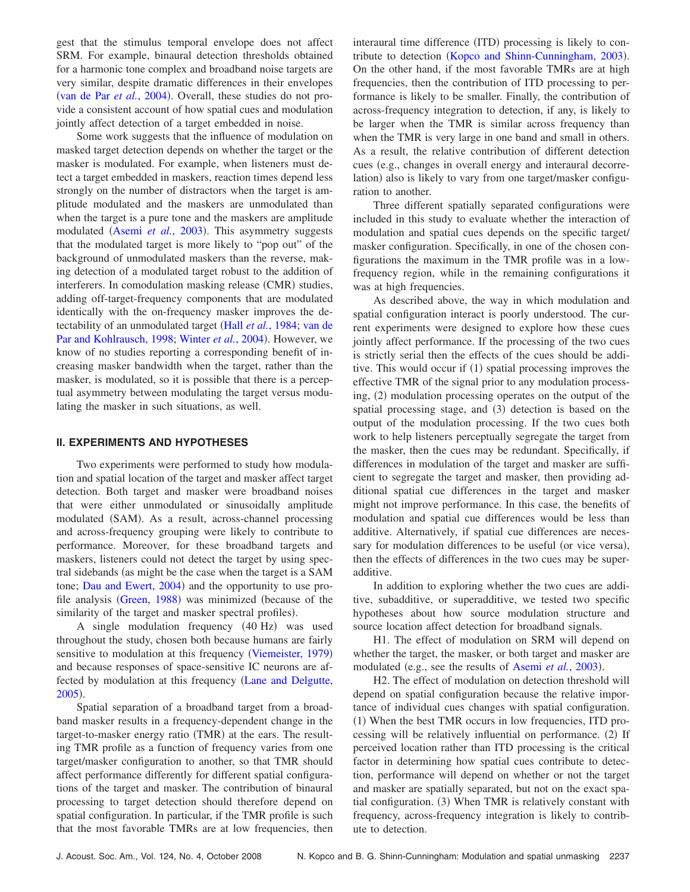gest that the stimulus temporal envelope does not affect SRM. For example, binaural detection thresholds obtained for a harmonic tone complex and broadband noise targets are very similar, despite dramatic differences in their envelopes ([van de Par](#page-14-5) et al., 2004). Overall, these studies do not provide a consistent account of how spatial cues and modulation jointly affect detection of a target embedded in noise.

Some work suggests that the influence of modulation on masked target detection depends on whether the target or the masker is modulated. For example, when listeners must detect a target embedded in maskers, reaction times depend less strongly on the number of distractors when the target is amplitude modulated and the maskers are unmodulated than when the target is a pure tone and the maskers are amplitude modulated (Asemi et al.[, 2003](#page-13-9)). This asymmetry suggests that the modulated target is more likely to "pop out" of the background of unmodulated maskers than the reverse, making detection of a modulated target robust to the addition of interferers. In comodulation masking release (CMR) studies, adding off-target-frequency components that are modulated identically with the on-frequency masker improves the detectability of an unmodulated target Hall *et al.*[, 1984;](#page-13-10) [van de](#page-14-1) [Par and Kohlrausch, 1998;](#page-14-1) [Winter](#page-14-6) et al., 2004). However, we know of no studies reporting a corresponding benefit of increasing masker bandwidth when the target, rather than the masker, is modulated, so it is possible that there is a perceptual asymmetry between modulating the target versus modulating the masker in such situations, as well.

#### **II. EXPERIMENTS AND HYPOTHESES**

Two experiments were performed to study how modulation and spatial location of the target and masker affect target detection. Both target and masker were broadband noises that were either unmodulated or sinusoidally amplitude modulated (SAM). As a result, across-channel processing and across-frequency grouping were likely to contribute to performance. Moreover, for these broadband targets and maskers, listeners could not detect the target by using spectral sidebands (as might be the case when the target is a SAM tone; [Dau and Ewert, 2004](#page-13-11)) and the opportunity to use pro-file analysis ([Green, 1988](#page-13-12)) was minimized (because of the similarity of the target and masker spectral profiles).

A single modulation frequency (40 Hz) was used throughout the study, chosen both because humans are fairly sensitive to modulation at this frequency ([Viemeister, 1979](#page-14-7)) and because responses of space-sensitive IC neurons are af-fected by modulation at this frequency ([Lane and Delgutte,](#page-13-13) [2005](#page-13-13)).

Spatial separation of a broadband target from a broadband masker results in a frequency-dependent change in the target-to-masker energy ratio (TMR) at the ears. The resulting TMR profile as a function of frequency varies from one target/masker configuration to another, so that TMR should affect performance differently for different spatial configurations of the target and masker. The contribution of binaural processing to target detection should therefore depend on spatial configuration. In particular, if the TMR profile is such that the most favorable TMRs are at low frequencies, then

interaural time difference (ITD) processing is likely to con-tribute to detection ([Kopco and Shinn-Cunningham, 2003](#page-13-4)). On the other hand, if the most favorable TMRs are at high frequencies, then the contribution of ITD processing to performance is likely to be smaller. Finally, the contribution of across-frequency integration to detection, if any, is likely to be larger when the TMR is similar across frequency than when the TMR is very large in one band and small in others. As a result, the relative contribution of different detection cues (e.g., changes in overall energy and interaural decorrelation) also is likely to vary from one target/masker configuration to another.

Three different spatially separated configurations were included in this study to evaluate whether the interaction of modulation and spatial cues depends on the specific target/ masker configuration. Specifically, in one of the chosen configurations the maximum in the TMR profile was in a lowfrequency region, while in the remaining configurations it was at high frequencies.

As described above, the way in which modulation and spatial configuration interact is poorly understood. The current experiments were designed to explore how these cues jointly affect performance. If the processing of the two cues is strictly serial then the effects of the cues should be additive. This would occur if (1) spatial processing improves the effective TMR of the signal prior to any modulation processing, (2) modulation processing operates on the output of the spatial processing stage, and (3) detection is based on the output of the modulation processing. If the two cues both work to help listeners perceptually segregate the target from the masker, then the cues may be redundant. Specifically, if differences in modulation of the target and masker are sufficient to segregate the target and masker, then providing additional spatial cue differences in the target and masker might not improve performance. In this case, the benefits of modulation and spatial cue differences would be less than additive. Alternatively, if spatial cue differences are necessary for modulation differences to be useful (or vice versa), then the effects of differences in the two cues may be superadditive.

In addition to exploring whether the two cues are additive, subadditive, or superadditive, we tested two specific hypotheses about how source modulation structure and source location affect detection for broadband signals.

H1. The effect of modulation on SRM will depend on whether the target, the masker, or both target and masker are modulated (e.g., see the results of [Asemi](#page-13-9) et al., 2003).

H2. The effect of modulation on detection threshold will depend on spatial configuration because the relative importance of individual cues changes with spatial configuration. (1) When the best TMR occurs in low frequencies, ITD processing will be relatively influential on performance. (2) If perceived location rather than ITD processing is the critical factor in determining how spatial cues contribute to detection, performance will depend on whether or not the target and masker are spatially separated, but not on the exact spatial configuration. (3) When TMR is relatively constant with frequency, across-frequency integration is likely to contribute to detection.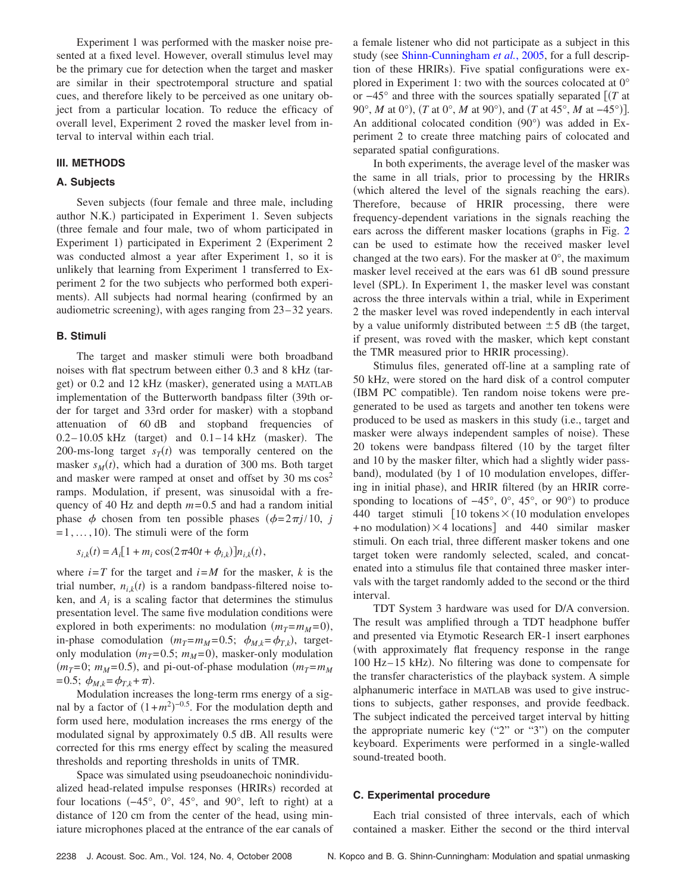Experiment 1 was performed with the masker noise presented at a fixed level. However, overall stimulus level may be the primary cue for detection when the target and masker are similar in their spectrotemporal structure and spatial cues, and therefore likely to be perceived as one unitary object from a particular location. To reduce the efficacy of overall level, Experiment 2 roved the masker level from interval to interval within each trial.

## **III. METHODS**

### **A. Subjects**

Seven subjects (four female and three male, including author N.K.) participated in Experiment 1. Seven subjects three female and four male, two of whom participated in Experiment 1) participated in Experiment 2 (Experiment 2 was conducted almost a year after Experiment 1, so it is unlikely that learning from Experiment 1 transferred to Experiment 2 for the two subjects who performed both experiments). All subjects had normal hearing (confirmed by an audiometric screening), with ages ranging from 23-32 years.

## **B. Stimuli**

The target and masker stimuli were both broadband noises with flat spectrum between either  $0.3$  and  $8$  kHz (target) or 0.2 and 12 kHz (masker), generated using a MATLAB implementation of the Butterworth bandpass filter (39th order for target and 33rd order for masker) with a stopband attenuation of 60 dB and stopband frequencies of  $0.2-10.05$  kHz (target) and  $0.1-14$  kHz (masker). The 200-ms-long target  $s_T(t)$  was temporally centered on the masker  $s_M(t)$ , which had a duration of 300 ms. Both target and masker were ramped at onset and offset by 30 ms  $\cos^2$ ramps. Modulation, if present, was sinusoidal with a frequency of 40 Hz and depth *m*= 0.5 and had a random initial phase  $\phi$  chosen from ten possible phases  $(\phi = 2\pi j/10, j)$  $= 1, \ldots, 10$ . The stimuli were of the form

 $s_{i,k}(t) = A_i[1 + m_i \cos(2\pi 40t + \phi_{i,k})]n_{i,k}(t),$ 

where  $i = T$  for the target and  $i = M$  for the masker,  $k$  is the trial number,  $n_{i,k}(t)$  is a random bandpass-filtered noise token, and  $A_i$  is a scaling factor that determines the stimulus presentation level. The same five modulation conditions were explored in both experiments: no modulation  $(m_T = m_M = 0)$ , in-phase comodulation  $(m_T = m_M = 0.5; \phi_{M,k} = \phi_{T,k})$ , targetonly modulation  $(m_T=0.5; m_M=0)$ , masker-only modulation  $(m_T=0; m_M=0.5)$ , and pi-out-of-phase modulation  $(m_T=m_M)$  $= 0.5; \ \phi_{M,k} = \phi_{T,k} + \pi.$ 

Modulation increases the long-term rms energy of a signal by a factor of  $(1+m^2)^{-0.5}$ . For the modulation depth and form used here, modulation increases the rms energy of the modulated signal by approximately 0.5 dB. All results were corrected for this rms energy effect by scaling the measured thresholds and reporting thresholds in units of TMR.

Space was simulated using pseudoanechoic nonindividualized head-related impulse responses (HRIRs) recorded at four locations  $(-45^{\circ}, 0^{\circ}, 45^{\circ}, \text{ and } 90^{\circ}, \text{ left to right})$  at a distance of 120 cm from the center of the head, using miniature microphones placed at the entrance of the ear canals of a female listener who did not participate as a subject in this study (see [Shinn-Cunningham](#page-13-14) *et al.*, 2005, for a full description of these HRIRs). Five spatial configurations were explored in Experiment 1: two with the sources colocated at 0° or −45° and three with the sources spatially separated *T* at 90°, *M* at 0°), (*T* at 0°, *M* at 90°), and (*T* at 45°, *M* at −45°)]. An additional colocated condition (90°) was added in Experiment 2 to create three matching pairs of colocated and separated spatial configurations.

In both experiments, the average level of the masker was the same in all trials, prior to processing by the HRIRs (which altered the level of the signals reaching the ears). Therefore, because of HRIR processing, there were frequency-dependent variations in the signals reaching the ears across the different masker locations (graphs in Fig. [2](#page-4-0)) can be used to estimate how the received masker level changed at the two ears). For the masker at  $0^\circ$ , the maximum masker level received at the ears was 61 dB sound pressure level (SPL). In Experiment 1, the masker level was constant across the three intervals within a trial, while in Experiment 2 the masker level was roved independently in each interval by a value uniformly distributed between  $\pm 5$  dB (the target, if present, was roved with the masker, which kept constant the TMR measured prior to HRIR processing).

Stimulus files, generated off-line at a sampling rate of 50 kHz, were stored on the hard disk of a control computer (IBM PC compatible). Ten random noise tokens were pregenerated to be used as targets and another ten tokens were produced to be used as maskers in this study (i.e., target and masker were always independent samples of noise). These 20 tokens were bandpass filtered (10 by the target filter and 10 by the masker filter, which had a slightly wider passband), modulated (by 1 of 10 modulation envelopes, differing in initial phase), and HRIR filtered (by an HRIR corresponding to locations of  $-45^\circ$ , 0°, 45°, or 90°) to produce 440 target stimuli [10 tokens $\times$ (10 modulation envelopes  $+$  no modulation) $\times$  4 locations] and 440 similar masker stimuli. On each trial, three different masker tokens and one target token were randomly selected, scaled, and concatenated into a stimulus file that contained three masker intervals with the target randomly added to the second or the third interval.

TDT System 3 hardware was used for D/A conversion. The result was amplified through a TDT headphone buffer and presented via Etymotic Research ER-1 insert earphones with approximately flat frequency response in the range 100 Hz-15 kHz). No filtering was done to compensate for the transfer characteristics of the playback system. A simple alphanumeric interface in MATLAB was used to give instructions to subjects, gather responses, and provide feedback. The subject indicated the perceived target interval by hitting the appropriate numeric key  $("2" or "3")$  on the computer keyboard. Experiments were performed in a single-walled sound-treated booth.

#### **C. Experimental procedure**

Each trial consisted of three intervals, each of which contained a masker. Either the second or the third interval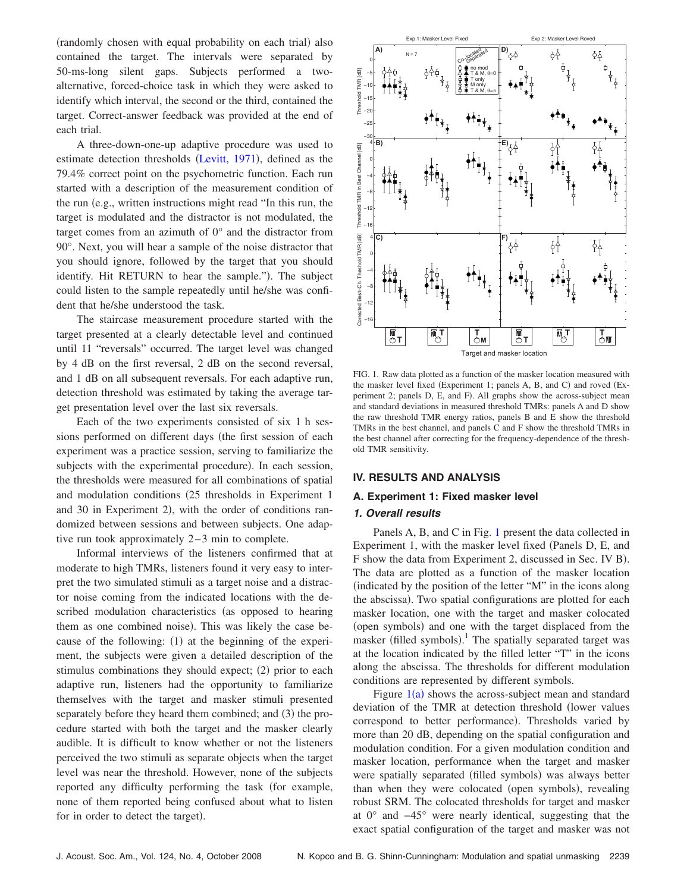(randomly chosen with equal probability on each trial) also contained the target. The intervals were separated by 50-ms-long silent gaps. Subjects performed a twoalternative, forced-choice task in which they were asked to identify which interval, the second or the third, contained the target. Correct-answer feedback was provided at the end of each trial.

A three-down-one-up adaptive procedure was used to estimate detection thresholds ([Levitt, 1971](#page-13-15)), defined as the 79.4% correct point on the psychometric function. Each run started with a description of the measurement condition of the run (e.g., written instructions might read "In this run, the target is modulated and the distractor is not modulated, the target comes from an azimuth of  $0^{\circ}$  and the distractor from 90°. Next, you will hear a sample of the noise distractor that you should ignore, followed by the target that you should identify. Hit RETURN to hear the sample."). The subject could listen to the sample repeatedly until he/she was confident that he/she understood the task.

The staircase measurement procedure started with the target presented at a clearly detectable level and continued until 11 "reversals" occurred. The target level was changed by 4 dB on the first reversal, 2 dB on the second reversal, and 1 dB on all subsequent reversals. For each adaptive run, detection threshold was estimated by taking the average target presentation level over the last six reversals.

Each of the two experiments consisted of six 1 h sessions performed on different days (the first session of each experiment was a practice session, serving to familiarize the subjects with the experimental procedure). In each session, the thresholds were measured for all combinations of spatial and modulation conditions 25 thresholds in Experiment 1 and 30 in Experiment 2), with the order of conditions randomized between sessions and between subjects. One adaptive run took approximately  $2-3$  min to complete.

Informal interviews of the listeners confirmed that at moderate to high TMRs, listeners found it very easy to interpret the two simulated stimuli as a target noise and a distractor noise coming from the indicated locations with the described modulation characteristics (as opposed to hearing them as one combined noise). This was likely the case because of the following: (1) at the beginning of the experiment, the subjects were given a detailed description of the stimulus combinations they should expect; (2) prior to each adaptive run, listeners had the opportunity to familiarize themselves with the target and masker stimuli presented separately before they heard them combined; and (3) the procedure started with both the target and the masker clearly audible. It is difficult to know whether or not the listeners perceived the two stimuli as separate objects when the target level was near the threshold. However, none of the subjects reported any difficulty performing the task (for example, none of them reported being confused about what to listen for in order to detect the target).

<span id="page-3-0"></span>

FIG. 1. Raw data plotted as a function of the masker location measured with the masker level fixed (Experiment 1; panels A, B, and C) and roved (Experiment 2; panels D, E, and F). All graphs show the across-subject mean and standard deviations in measured threshold TMRs: panels A and D show the raw threshold TMR energy ratios, panels B and E show the threshold TMRs in the best channel, and panels C and F show the threshold TMRs in the best channel after correcting for the frequency-dependence of the threshold TMR sensitivity.

## **IV. RESULTS AND ANALYSIS**

## **A. Experiment 1: Fixed masker level**

#### *1. Overall results*

Panels A, B, and C in Fig. [1](#page-3-0) present the data collected in Experiment 1, with the masker level fixed (Panels D, E, and F show the data from Experiment 2, discussed in Sec. IV B). The data are plotted as a function of the masker location indicated by the position of the letter "M" in the icons along the abscissa). Two spatial configurations are plotted for each masker location, one with the target and masker colocated (open symbols) and one with the target displaced from the masker (filled symbols).<sup>1</sup> The spatially separated target was at the location indicated by the filled letter "T" in the icons along the abscissa. The thresholds for different modulation conditions are represented by different symbols.

Figure  $1(a)$  $1(a)$  shows the across-subject mean and standard deviation of the TMR at detection threshold (lower values correspond to better performance). Thresholds varied by more than 20 dB, depending on the spatial configuration and modulation condition. For a given modulation condition and masker location, performance when the target and masker were spatially separated (filled symbols) was always better than when they were colocated (open symbols), revealing robust SRM. The colocated thresholds for target and masker at 0° and −45° were nearly identical, suggesting that the exact spatial configuration of the target and masker was not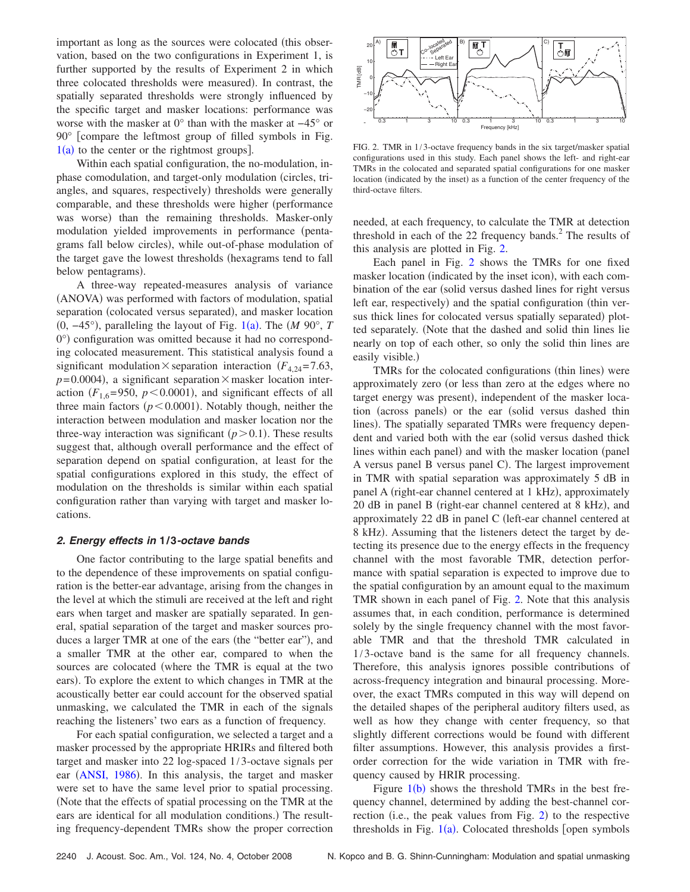important as long as the sources were colocated (this observation, based on the two configurations in Experiment 1, is further supported by the results of Experiment 2 in which three colocated thresholds were measured). In contrast, the spatially separated thresholds were strongly influenced by the specific target and masker locations: performance was worse with the masker at 0° than with the masker at −45° or 90° compare the leftmost group of filled symbols in Fig.  $1(a)$  $1(a)$  to the center or the rightmost groups].

Within each spatial configuration, the no-modulation, inphase comodulation, and target-only modulation circles, triangles, and squares, respectively) thresholds were generally comparable, and these thresholds were higher (performance was worse) than the remaining thresholds. Masker-only modulation yielded improvements in performance (pentagrams fall below circles), while out-of-phase modulation of the target gave the lowest thresholds (hexagrams tend to fall below pentagrams).

A three-way repeated-measures analysis of variance (ANOVA) was performed with factors of modulation, spatial separation (colocated versus separated), and masker location (0, −45°), paralleling the layout of Fig. [1](#page-3-0)(a). The (*M* 90°, *T* 0°) configuration was omitted because it had no corresponding colocated measurement. This statistical analysis found a significant modulation  $\times$  separation interaction  $(F_{4,24} = 7.63)$ ,  $p=0.0004$ ), a significant separation  $\times$  masker location interaction  $(F_{1,6} = 950, p \le 0.0001)$ , and significant effects of all three main factors  $(p< 0.0001)$ . Notably though, neither the interaction between modulation and masker location nor the three-way interaction was significant  $(p > 0.1)$ . These results suggest that, although overall performance and the effect of separation depend on spatial configuration, at least for the spatial configurations explored in this study, the effect of modulation on the thresholds is similar within each spatial configuration rather than varying with target and masker locations.

## *2. Energy effects in* **1/3***-octave bands*

One factor contributing to the large spatial benefits and to the dependence of these improvements on spatial configuration is the better-ear advantage, arising from the changes in the level at which the stimuli are received at the left and right ears when target and masker are spatially separated. In general, spatial separation of the target and masker sources produces a larger TMR at one of the ears (the "better ear"), and a smaller TMR at the other ear, compared to when the sources are colocated (where the TMR is equal at the two ears). To explore the extent to which changes in TMR at the acoustically better ear could account for the observed spatial unmasking, we calculated the TMR in each of the signals reaching the listeners' two ears as a function of frequency.

For each spatial configuration, we selected a target and a masker processed by the appropriate HRIRs and filtered both target and masker into 22 log-spaced 1/3-octave signals per ear ([ANSI, 1986](#page-13-16)). In this analysis, the target and masker were set to have the same level prior to spatial processing. Note that the effects of spatial processing on the TMR at the ears are identical for all modulation conditions.) The resulting frequency-dependent TMRs show the proper correction

<span id="page-4-0"></span>

FIG. 2. TMR in 1/3-octave frequency bands in the six target/masker spatial configurations used in this study. Each panel shows the left- and right-ear TMRs in the colocated and separated spatial configurations for one masker location (indicated by the inset) as a function of the center frequency of the third-octave filters.

needed, at each frequency, to calculate the TMR at detection threshold in each of the  $22$  frequency bands.<sup>2</sup> The results of this analysis are plotted in Fig. [2.](#page-4-0)

Each panel in Fig. [2](#page-4-0) shows the TMRs for one fixed masker location (indicated by the inset icon), with each combination of the ear (solid versus dashed lines for right versus left ear, respectively) and the spatial configuration (thin versus thick lines for colocated versus spatially separated) plotted separately. Note that the dashed and solid thin lines lie nearly on top of each other, so only the solid thin lines are easily visible.)

TMRs for the colocated configurations (thin lines) were approximately zero (or less than zero at the edges where no target energy was present), independent of the masker location (across panels) or the ear (solid versus dashed thin lines). The spatially separated TMRs were frequency dependent and varied both with the ear (solid versus dashed thick lines within each panel) and with the masker location (panel A versus panel B versus panel C). The largest improvement in TMR with spatial separation was approximately 5 dB in panel A (right-ear channel centered at 1 kHz), approximately 20 dB in panel B (right-ear channel centered at 8 kHz), and approximately 22 dB in panel C left-ear channel centered at 8 kHz). Assuming that the listeners detect the target by detecting its presence due to the energy effects in the frequency channel with the most favorable TMR, detection performance with spatial separation is expected to improve due to the spatial configuration by an amount equal to the maximum TMR shown in each panel of Fig. [2.](#page-4-0) Note that this analysis assumes that, in each condition, performance is determined solely by the single frequency channel with the most favorable TMR and that the threshold TMR calculated in 1/3-octave band is the same for all frequency channels. Therefore, this analysis ignores possible contributions of across-frequency integration and binaural processing. Moreover, the exact TMRs computed in this way will depend on the detailed shapes of the peripheral auditory filters used, as well as how they change with center frequency, so that slightly different corrections would be found with different filter assumptions. However, this analysis provides a firstorder correction for the wide variation in TMR with frequency caused by HRIR processing.

Figure  $1(b)$  $1(b)$  shows the threshold TMRs in the best frequency channel, determined by adding the best-channel cor-rection (i.e., the peak values from Fig. [2](#page-4-0)) to the respective thresholds in Fig.  $1(a)$  $1(a)$ . Colocated thresholds [open symbols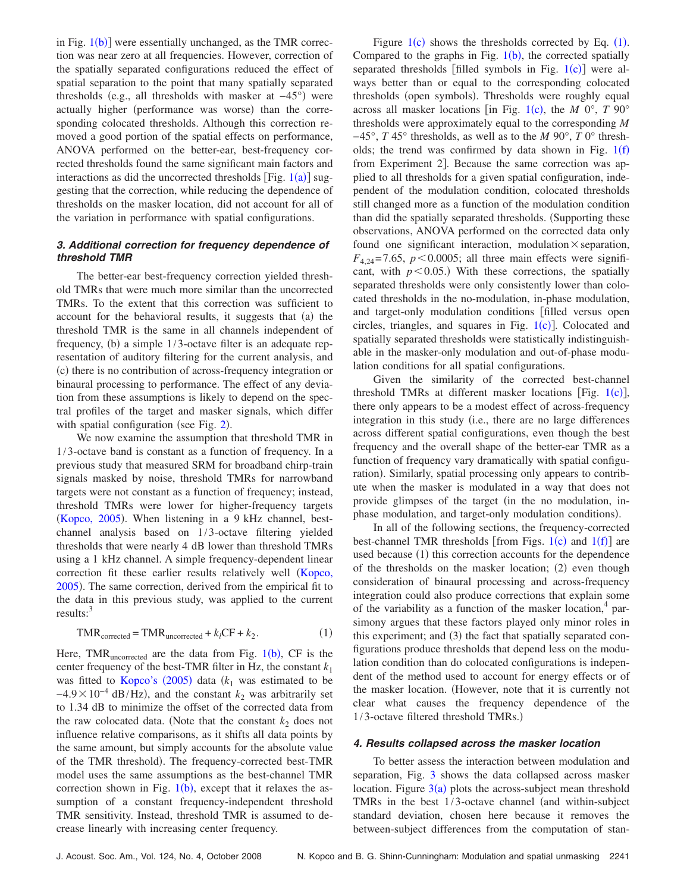in Fig.  $1(b)$  $1(b)$ ] were essentially unchanged, as the TMR correction was near zero at all frequencies. However, correction of the spatially separated configurations reduced the effect of spatial separation to the point that many spatially separated thresholds (e.g., all thresholds with masker at  $-45^{\circ}$ ) were actually higher (performance was worse) than the corresponding colocated thresholds. Although this correction removed a good portion of the spatial effects on performance, ANOVA performed on the better-ear, best-frequency corrected thresholds found the same significant main factors and interactions as did the uncorrected thresholds [Fig.  $1(a)$  $1(a)$ ] suggesting that the correction, while reducing the dependence of thresholds on the masker location, did not account for all of the variation in performance with spatial configurations.

# *3. Additional correction for frequency dependence of threshold TMR*

The better-ear best-frequency correction yielded threshold TMRs that were much more similar than the uncorrected TMRs. To the extent that this correction was sufficient to account for the behavioral results, it suggests that (a) the threshold TMR is the same in all channels independent of frequency, (b) a simple 1/3-octave filter is an adequate representation of auditory filtering for the current analysis, and (c) there is no contribution of across-frequency integration or binaural processing to performance. The effect of any deviation from these assumptions is likely to depend on the spectral profiles of the target and masker signals, which differ with spatial configuration (see Fig. [2](#page-4-0)).

We now examine the assumption that threshold TMR in 1/3-octave band is constant as a function of frequency. In a previous study that measured SRM for broadband chirp-train signals masked by noise, threshold TMRs for narrowband targets were not constant as a function of frequency; instead, threshold TMRs were lower for higher-frequency targets ([Kopco, 2005](#page-13-17)). When listening in a 9 kHz channel, bestchannel analysis based on 1/3-octave filtering yielded thresholds that were nearly 4 dB lower than threshold TMRs using a 1 kHz channel. A simple frequency-dependent linear correction fit these earlier results relatively well ([Kopco,](#page-13-17) [2005](#page-13-17)). The same correction, derived from the empirical fit to the data in this previous study, was applied to the current results: $3$ 

$$
TMR_{\text{corrected}} = TMR_{\text{uncorrected}} + k_l CF + k_2. \tag{1}
$$

<span id="page-5-0"></span>Here,  $TMR_{uncorrected}$  are the data from Fig. [1](#page-3-0)(b), CF is the center frequency of the best-TMR filter in Hz, the constant  $k_1$ was fitted to [Kopco's](#page-13-17)  $(2005)$  data  $(k_1$  was estimated to be  $-4.9 \times 10^{-4}$  dB/Hz), and the constant  $k_2$  was arbitrarily set to 1.34 dB to minimize the offset of the corrected data from the raw colocated data. (Note that the constant  $k_2$  does not influence relative comparisons, as it shifts all data points by the same amount, but simply accounts for the absolute value of the TMR threshold). The frequency-corrected best-TMR model uses the same assumptions as the best-channel TMR correction shown in Fig.  $1(b)$  $1(b)$ , except that it relaxes the assumption of a constant frequency-independent threshold TMR sensitivity. Instead, threshold TMR is assumed to decrease linearly with increasing center frequency.

Figure  $1(c)$  $1(c)$  shows the thresholds corrected by Eq.  $(1)$ . Compared to the graphs in Fig.  $1(b)$  $1(b)$ , the corrected spatially separated thresholds [filled symbols in Fig.  $1(c)$  $1(c)$ ] were always better than or equal to the corresponding colocated thresholds (open symbols). Thresholds were roughly equal across all masker locations [in Fig. [1](#page-3-0)(c), the  $M$  0°,  $T$  90° thresholds were approximately equal to the corresponding *M* −45°, *T* 45° thresholds, as well as to the *M* 90°, *T* 0° thresholds; the trend was confirmed by data shown in Fig.  $1(f)$  $1(f)$ from Experiment 2. Because the same correction was applied to all thresholds for a given spatial configuration, independent of the modulation condition, colocated thresholds still changed more as a function of the modulation condition than did the spatially separated thresholds. (Supporting these observations, ANOVA performed on the corrected data only found one significant interaction, modulation $\times$  separation,  $F_{4,24}$ =7.65,  $p<0.0005$ ; all three main effects were significant, with  $p < 0.05$ .) With these corrections, the spatially separated thresholds were only consistently lower than colocated thresholds in the no-modulation, in-phase modulation, and target-only modulation conditions filled versus open circles, triangles, and squares in Fig.  $1(c)$  $1(c)$ ]. Colocated and spatially separated thresholds were statistically indistinguishable in the masker-only modulation and out-of-phase modulation conditions for all spatial configurations.

Given the similarity of the corrected best-channel threshold TMRs at different masker locations [Fig.  $1(c)$  $1(c)$ ], there only appears to be a modest effect of across-frequency integration in this study (i.e., there are no large differences across different spatial configurations, even though the best frequency and the overall shape of the better-ear TMR as a function of frequency vary dramatically with spatial configuration). Similarly, spatial processing only appears to contribute when the masker is modulated in a way that does not provide glimpses of the target (in the no modulation, inphase modulation, and target-only modulation conditions).

In all of the following sections, the frequency-corrected best-channel TMR thresholds [from Figs.  $1(c)$  $1(c)$  and  $1(f)$ ] are used because (1) this correction accounts for the dependence of the thresholds on the masker location; (2) even though consideration of binaural processing and across-frequency integration could also produce corrections that explain some of the variability as a function of the masker location,<sup>4</sup> parsimony argues that these factors played only minor roles in this experiment; and (3) the fact that spatially separated configurations produce thresholds that depend less on the modulation condition than do colocated configurations is independent of the method used to account for energy effects or of the masker location. However, note that it is currently not clear what causes the frequency dependence of the 1/3-octave filtered threshold TMRs.)

## *4. Results collapsed across the masker location*

To better assess the interaction between modulation and separation, Fig. [3](#page-6-0) shows the data collapsed across masker location. Figure  $3(a)$  $3(a)$  plots the across-subject mean threshold TMRs in the best  $1/3$ -octave channel (and within-subject standard deviation, chosen here because it removes the between-subject differences from the computation of stan-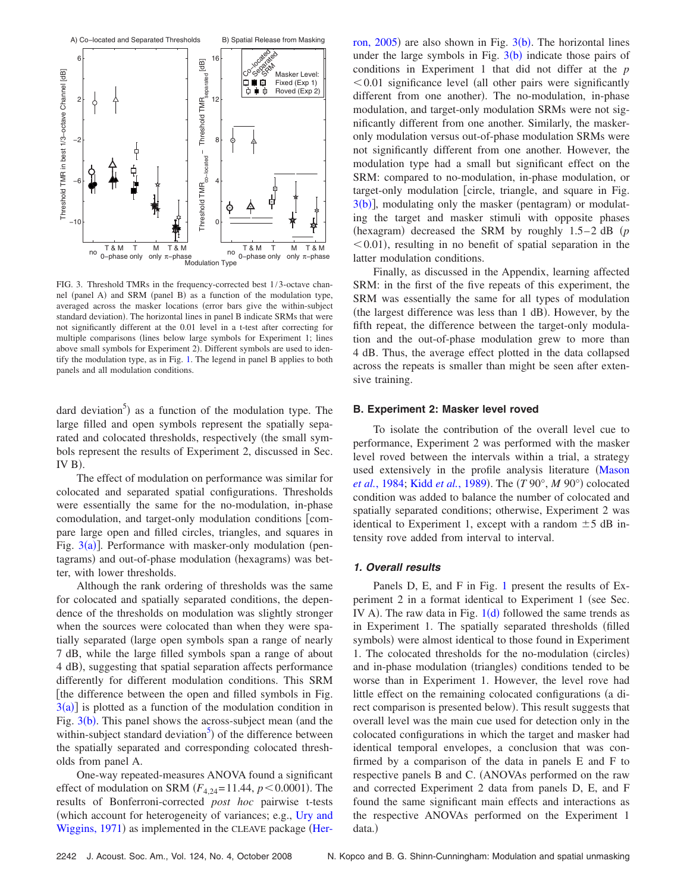<span id="page-6-0"></span>

FIG. 3. Threshold TMRs in the frequency-corrected best 1/3-octave channel (panel A) and SRM (panel B) as a function of the modulation type, averaged across the masker locations (error bars give the within-subject standard deviation). The horizontal lines in panel B indicate SRMs that were not significantly different at the 0.01 level in a t-test after correcting for multiple comparisons (lines below large symbols for Experiment 1; lines above small symbols for Experiment 2). Different symbols are used to identify the modulation type, as in Fig. [1.](#page-3-0) The legend in panel B applies to both panels and all modulation conditions.

dard deviation<sup>5</sup>) as a function of the modulation type. The large filled and open symbols represent the spatially separated and colocated thresholds, respectively (the small symbols represent the results of Experiment 2, discussed in Sec.  $IVB$ ).

The effect of modulation on performance was similar for colocated and separated spatial configurations. Thresholds were essentially the same for the no-modulation, in-phase comodulation, and target-only modulation conditions [compare large open and filled circles, triangles, and squares in Fig.  $3(a)$  $3(a)$ ]. Performance with masker-only modulation (pentagrams) and out-of-phase modulation (hexagrams) was better, with lower thresholds.

Although the rank ordering of thresholds was the same for colocated and spatially separated conditions, the dependence of the thresholds on modulation was slightly stronger when the sources were colocated than when they were spatially separated (large open symbols span a range of nearly 7 dB, while the large filled symbols span a range of about 4 dB), suggesting that spatial separation affects performance differently for different modulation conditions. This SRM the difference between the open and filled symbols in Fig.  $3(a)$  $3(a)$ ] is plotted as a function of the modulation condition in Fig. [3](#page-6-0)(b). This panel shows the across-subject mean (and the within-subject standard deviation<sup>5</sup>) of the difference between the spatially separated and corresponding colocated thresholds from panel A.

One-way repeated-measures ANOVA found a significant effect of modulation on SRM  $(F_{4,24}=11.44, p<0.0001)$ . The results of Bonferroni-corrected *post hoc* pairwise t-tests (which account for heterogeneity of variances; e.g., [Ury and](#page-14-8) [Wiggins, 1971](#page-14-8)) as implemented in the CLEAVE package ([Her-](#page-13-19)

[ron, 2005](#page-13-19)) are also shown in Fig. [3](#page-6-0)(b). The horizontal lines under the large symbols in Fig.  $3(b)$  $3(b)$  indicate those pairs of conditions in Experiment 1 that did not differ at the *p*  $0.01$  significance level (all other pairs were significantly different from one another). The no-modulation, in-phase modulation, and target-only modulation SRMs were not significantly different from one another. Similarly, the maskeronly modulation versus out-of-phase modulation SRMs were not significantly different from one another. However, the modulation type had a small but significant effect on the SRM: compared to no-modulation, in-phase modulation, or target-only modulation [circle, triangle, and square in Fig.  $3(b)$  $3(b)$ , modulating only the masker (pentagram) or modulating the target and masker stimuli with opposite phases (hexagram) decreased the SRM by roughly  $1.5-2$  dB  $(p$  $<$  0.01), resulting in no benefit of spatial separation in the latter modulation conditions.

Finally, as discussed in the Appendix, learning affected SRM: in the first of the five repeats of this experiment, the SRM was essentially the same for all types of modulation (the largest difference was less than 1 dB). However, by the fifth repeat, the difference between the target-only modulation and the out-of-phase modulation grew to more than 4 dB. Thus, the average effect plotted in the data collapsed across the repeats is smaller than might be seen after extensive training.

## **B. Experiment 2: Masker level roved**

To isolate the contribution of the overall level cue to performance, Experiment 2 was performed with the masker level roved between the intervals within a trial, a strategy used extensively in the profile analysis literature ([Mason](#page-13-20) *et al.*[, 1984;](#page-13-20) Kidd *et al.*[, 1989](#page-13-21)). The  $(T90^\circ, M90^\circ)$  colocated condition was added to balance the number of colocated and spatially separated conditions; otherwise, Experiment 2 was identical to Experiment 1, except with a random  $\pm 5$  dB intensity rove added from interval to interval.

#### *1. Overall results*

Panels D, E, and F in Fig. [1](#page-3-0) present the results of Experiment  $2$  in a format identical to Experiment  $1$  (see Sec. IV A). The raw data in Fig.  $1(d)$  $1(d)$  followed the same trends as in Experiment 1. The spatially separated thresholds (filled symbols) were almost identical to those found in Experiment 1. The colocated thresholds for the no-modulation (circles) and in-phase modulation (triangles) conditions tended to be worse than in Experiment 1. However, the level rove had little effect on the remaining colocated configurations (a direct comparison is presented below). This result suggests that overall level was the main cue used for detection only in the colocated configurations in which the target and masker had identical temporal envelopes, a conclusion that was confirmed by a comparison of the data in panels E and F to respective panels B and C. ANOVAs performed on the raw and corrected Experiment 2 data from panels D, E, and F found the same significant main effects and interactions as the respective ANOVAs performed on the Experiment 1 data.)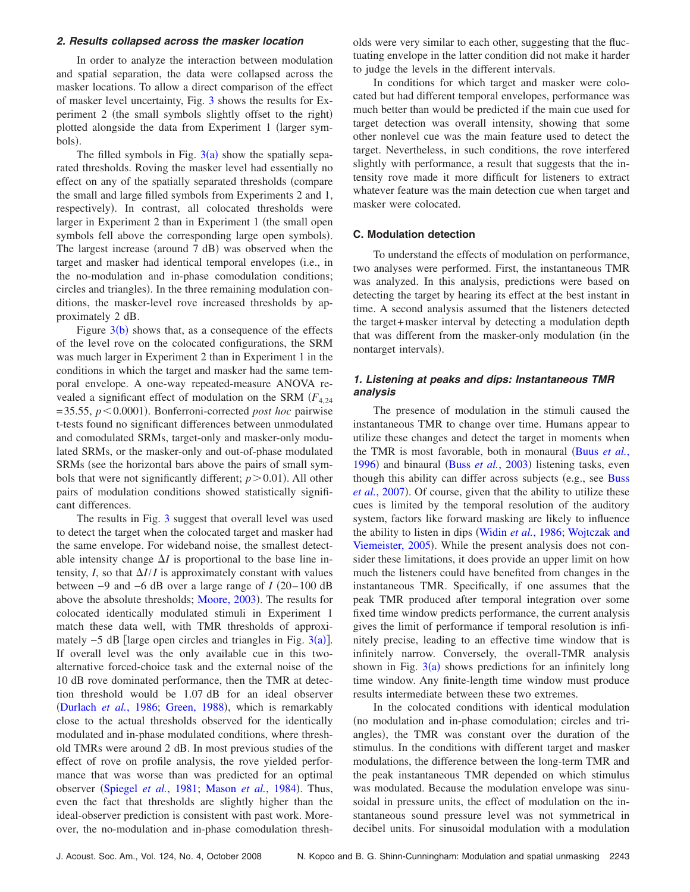#### *2. Results collapsed across the masker location*

In order to analyze the interaction between modulation and spatial separation, the data were collapsed across the masker locations. To allow a direct comparison of the effect of masker level uncertainty, Fig. [3](#page-6-0) shows the results for Experiment 2 (the small symbols slightly offset to the right) plotted alongside the data from Experiment 1 (larger symbols).

The filled symbols in Fig.  $3(a)$  $3(a)$  show the spatially separated thresholds. Roving the masker level had essentially no effect on any of the spatially separated thresholds compare the small and large filled symbols from Experiments 2 and 1, respectively). In contrast, all colocated thresholds were larger in Experiment 2 than in Experiment 1 (the small open symbols fell above the corresponding large open symbols). The largest increase (around 7 dB) was observed when the target and masker had identical temporal envelopes (i.e., in the no-modulation and in-phase comodulation conditions; circles and triangles). In the three remaining modulation conditions, the masker-level rove increased thresholds by approximately 2 dB.

Figure  $3(b)$  $3(b)$  shows that, as a consequence of the effects of the level rove on the colocated configurations, the SRM was much larger in Experiment 2 than in Experiment 1 in the conditions in which the target and masker had the same temporal envelope. A one-way repeated-measure ANOVA revealed a significant effect of modulation on the SRM *F*4,24  $= 35.55, p < 0.0001$ ). Bonferroni-corrected *post hoc* pairwise t-tests found no significant differences between unmodulated and comodulated SRMs, target-only and masker-only modulated SRMs, or the masker-only and out-of-phase modulated SRMs (see the horizontal bars above the pairs of small symbols that were not significantly different;  $p > 0.01$ ). All other pairs of modulation conditions showed statistically significant differences.

The results in Fig. [3](#page-6-0) suggest that overall level was used to detect the target when the colocated target and masker had the same envelope. For wideband noise, the smallest detectable intensity change  $\Delta I$  is proportional to the base line intensity, *I*, so that  $\Delta I/I$  is approximately constant with values between −9 and −6 dB over a large range of *I* (20–100 dB above the absolute thresholds; [Moore, 2003](#page-13-22)). The results for colocated identically modulated stimuli in Experiment 1 match these data well, with TMR thresholds of approximately  $-5$  dB [large open circles and triangles in Fig. [3](#page-6-0)(a)]. If overall level was the only available cue in this twoalternative forced-choice task and the external noise of the 10 dB rove dominated performance, then the TMR at detection threshold would be 1.07 dB for an ideal observer ([Durlach](#page-13-23) et al., 1986; [Green, 1988](#page-13-12)), which is remarkably close to the actual thresholds observed for the identically modulated and in-phase modulated conditions, where threshold TMRs were around 2 dB. In most previous studies of the effect of rove on profile analysis, the rove yielded performance that was worse than was predicted for an optimal observer ([Spiegel](#page-13-24) et al., 1981; [Mason](#page-13-20) et al., 1984). Thus, even the fact that thresholds are slightly higher than the ideal-observer prediction is consistent with past work. Moreover, the no-modulation and in-phase comodulation thresholds were very similar to each other, suggesting that the fluctuating envelope in the latter condition did not make it harder to judge the levels in the different intervals.

In conditions for which target and masker were colocated but had different temporal envelopes, performance was much better than would be predicted if the main cue used for target detection was overall intensity, showing that some other nonlevel cue was the main feature used to detect the target. Nevertheless, in such conditions, the rove interfered slightly with performance, a result that suggests that the intensity rove made it more difficult for listeners to extract whatever feature was the main detection cue when target and masker were colocated.

#### **C. Modulation detection**

To understand the effects of modulation on performance, two analyses were performed. First, the instantaneous TMR was analyzed. In this analysis, predictions were based on detecting the target by hearing its effect at the best instant in time. A second analysis assumed that the listeners detected the target+masker interval by detecting a modulation depth that was different from the masker-only modulation (in the nontarget intervals).

## *1. Listening at peaks and dips: Instantaneous TMR analysis*

The presence of modulation in the stimuli caused the instantaneous TMR to change over time. Humans appear to utilize these changes and detect the target in moments when the TMR is most favorable, both in monaural (Buus *[et al.](#page-13-25)*, [1996](#page-13-25)) and binaural (Buss et al.[, 2003](#page-13-18)) listening tasks, even though this ability can differ across subjects (e.g., see [Buss](#page-13-26) et al.[, 2007](#page-13-26)). Of course, given that the ability to utilize these cues is limited by the temporal resolution of the auditory system, factors like forward masking are likely to influence the ability to listen in dips (Widin *et al.*[, 1986;](#page-14-9) [Wojtczak and](#page-14-10) [Viemeister, 2005](#page-14-10)). While the present analysis does not consider these limitations, it does provide an upper limit on how much the listeners could have benefited from changes in the instantaneous TMR. Specifically, if one assumes that the peak TMR produced after temporal integration over some fixed time window predicts performance, the current analysis gives the limit of performance if temporal resolution is infinitely precise, leading to an effective time window that is infinitely narrow. Conversely, the overall-TMR analysis shown in Fig.  $3(a)$  $3(a)$  shows predictions for an infinitely long time window. Any finite-length time window must produce results intermediate between these two extremes.

In the colocated conditions with identical modulation no modulation and in-phase comodulation; circles and triangles), the TMR was constant over the duration of the stimulus. In the conditions with different target and masker modulations, the difference between the long-term TMR and the peak instantaneous TMR depended on which stimulus was modulated. Because the modulation envelope was sinusoidal in pressure units, the effect of modulation on the instantaneous sound pressure level was not symmetrical in decibel units. For sinusoidal modulation with a modulation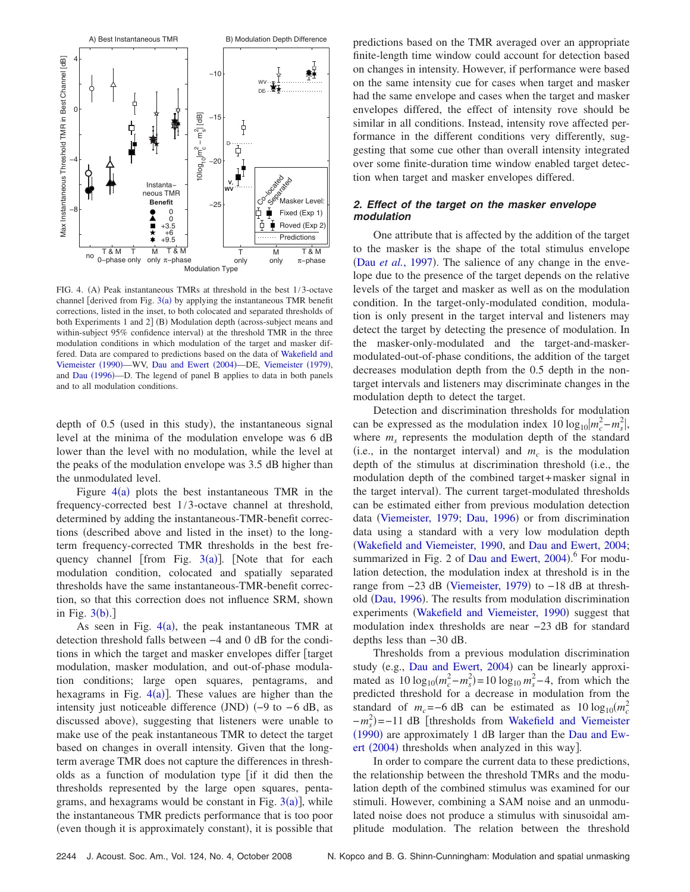<span id="page-8-0"></span>

FIG. 4. (A) Peak instantaneous TMRs at threshold in the best 1/3-octave channel [derived from Fig.  $3(a)$  $3(a)$  by applying the instantaneous TMR benefit corrections, listed in the inset, to both colocated and separated thresholds of both Experiments 1 and 2] (B) Modulation depth (across-subject means and within-subject 95% confidence interval) at the threshold TMR in the three modulation conditions in which modulation of the target and masker differed. Data are compared to predictions based on the data of [Wakefield and](#page-14-11) [Viemeister](#page-14-7) (1990)—WV, [Dau and Ewert](#page-13-11) (2004)—DE, Viemeister (1979), and Dau ([1996](#page-13-28))—D. The legend of panel B applies to data in both panels and to all modulation conditions.

depth of 0.5 (used in this study), the instantaneous signal level at the minima of the modulation envelope was 6 dB lower than the level with no modulation, while the level at the peaks of the modulation envelope was 3.5 dB higher than the unmodulated level.

Figure  $4(a)$  $4(a)$  plots the best instantaneous TMR in the frequency-corrected best 1/3-octave channel at threshold, determined by adding the instantaneous-TMR-benefit corrections (described above and listed in the inset) to the longterm frequency-corrected TMR thresholds in the best frequency channel [from Fig.  $3(a)$  $3(a)$ ]. [Note that for each modulation condition, colocated and spatially separated thresholds have the same instantaneous-TMR-benefit correction, so that this correction does not influence SRM, shown in Fig.  $3(b).$  $3(b).$ ]

As seen in Fig.  $4(a)$  $4(a)$ , the peak instantaneous TMR at detection threshold falls between −4 and 0 dB for the conditions in which the target and masker envelopes differ target modulation, masker modulation, and out-of-phase modulation conditions; large open squares, pentagrams, and hexagrams in Fig.  $4(a)$  $4(a)$ ]. These values are higher than the intensity just noticeable difference  $\text{(JND)}$  (-9 to -6 dB, as discussed above), suggesting that listeners were unable to make use of the peak instantaneous TMR to detect the target based on changes in overall intensity. Given that the longterm average TMR does not capture the differences in thresholds as a function of modulation type lif it did then the thresholds represented by the large open squares, pentagrams, and hexagrams would be constant in Fig.  $3(a)$  $3(a)$ , while the instantaneous TMR predicts performance that is too poor (even though it is approximately constant), it is possible that

predictions based on the TMR averaged over an appropriate finite-length time window could account for detection based on changes in intensity. However, if performance were based on the same intensity cue for cases when target and masker had the same envelope and cases when the target and masker envelopes differed, the effect of intensity rove should be similar in all conditions. Instead, intensity rove affected performance in the different conditions very differently, suggesting that some cue other than overall intensity integrated over some finite-duration time window enabled target detection when target and masker envelopes differed.

# *2. Effect of the target on the masker envelope modulation*

One attribute that is affected by the addition of the target to the masker is the shape of the total stimulus envelope (Dau et al.[, 1997](#page-13-27)). The salience of any change in the envelope due to the presence of the target depends on the relative levels of the target and masker as well as on the modulation condition. In the target-only-modulated condition, modulation is only present in the target interval and listeners may detect the target by detecting the presence of modulation. In the masker-only-modulated and the target-and-maskermodulated-out-of-phase conditions, the addition of the target decreases modulation depth from the 0.5 depth in the nontarget intervals and listeners may discriminate changes in the modulation depth to detect the target.

Detection and discrimination thresholds for modulation can be expressed as the modulation index  $10 \log_{10} |m_c^2 - m_s^2|$ , where  $m<sub>s</sub>$  represents the modulation depth of the standard (i.e., in the nontarget interval) and  $m_c$  is the modulation depth of the stimulus at discrimination threshold (i.e., the modulation depth of the combined target+masker signal in the target interval). The current target-modulated thresholds can be estimated either from previous modulation detection data ([Viemeister, 1979;](#page-14-7) [Dau, 1996](#page-13-28)) or from discrimination data using a standard with a very low modulation depth [Wakefield and Viemeister, 1990,](#page-14-11) and [Dau and Ewert, 2004;](#page-13-11) summarized in Fig. 2 of [Dau and Ewert, 2004](#page-13-11)).<sup>6</sup> For modulation detection, the modulation index at threshold is in the range from -23 dB ([Viemeister, 1979](#page-14-7)) to -18 dB at thresh-old ([Dau, 1996](#page-13-28)). The results from modulation discrimination experiments ([Wakefield and Viemeister, 1990](#page-14-11)) suggest that modulation index thresholds are near −23 dB for standard depths less than −30 dB.

Thresholds from a previous modulation discrimination study (e.g., [Dau and Ewert, 2004](#page-13-11)) can be linearly approximated as  $10 \log_{10} (m_c^2 - m_s^2) = 10 \log_{10} m_s^2 - 4$ , from which the predicted threshold for a decrease in modulation from the standard of  $m_c$ =−6 dB can be estimated as  $10 \log_{10} (m_c^2)$  $-m<sub>s</sub><sup>2</sup>$ ) = −11 dB [thresholds from [Wakefield and Viemeister](#page-14-11) ([1990](#page-14-11)) are approximately 1 dB larger than the [Dau and Ew-](#page-13-11)ert ([2004](#page-13-11)) thresholds when analyzed in this way].

In order to compare the current data to these predictions, the relationship between the threshold TMRs and the modulation depth of the combined stimulus was examined for our stimuli. However, combining a SAM noise and an unmodulated noise does not produce a stimulus with sinusoidal amplitude modulation. The relation between the threshold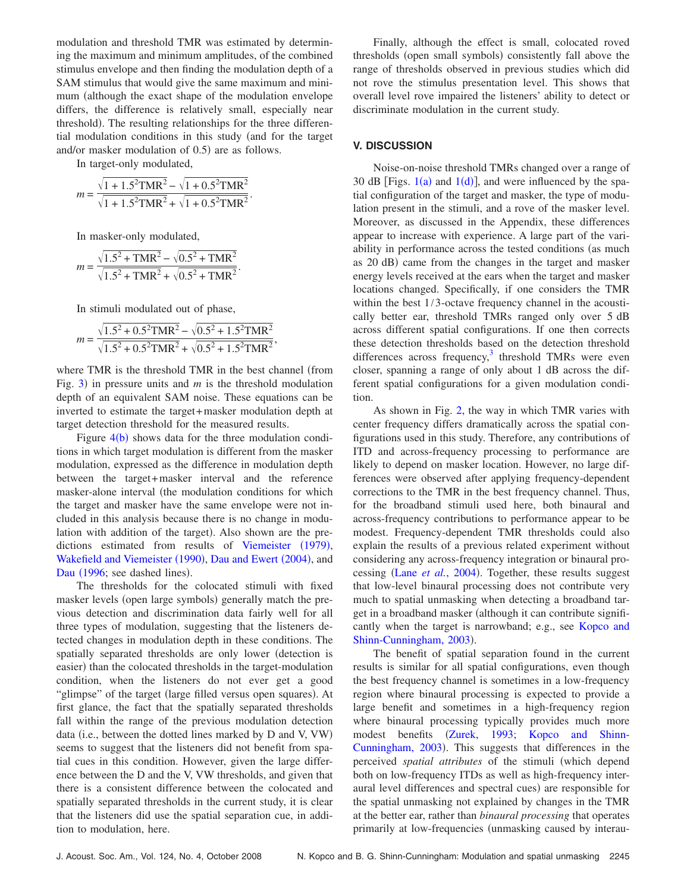modulation and threshold TMR was estimated by determining the maximum and minimum amplitudes, of the combined stimulus envelope and then finding the modulation depth of a SAM stimulus that would give the same maximum and minimum (although the exact shape of the modulation envelope differs, the difference is relatively small, especially near threshold). The resulting relationships for the three differential modulation conditions in this study (and for the target and/or masker modulation of 0.5) are as follows.

In target-only modulated,

$$
m = \frac{\sqrt{1 + 1.5^2 \text{T} \text{MR}^2} - \sqrt{1 + 0.5^2 \text{T} \text{MR}^2}}{\sqrt{1 + 1.5^2 \text{T} \text{MR}^2} + \sqrt{1 + 0.5^2 \text{T} \text{MR}^2}}.
$$

In masker-only modulated,

$$
m = \frac{\sqrt{1.5^2 + \text{TMR}^2} - \sqrt{0.5^2 + \text{TMR}^2}}{\sqrt{1.5^2 + \text{TMR}^2} + \sqrt{0.5^2 + \text{TMR}^2}}.
$$

In stimuli modulated out of phase,

$$
m = \frac{\sqrt{1.5^2 + 0.5^2 \text{T} \text{MR}^2} - \sqrt{0.5^2 + 1.5^2 \text{T} \text{MR}^2}}{\sqrt{1.5^2 + 0.5^2 \text{T} \text{MR}^2} + \sqrt{0.5^2 + 1.5^2 \text{T} \text{MR}^2}},
$$

where TMR is the threshold TMR in the best channel (from Fig.  $3$ ) in pressure units and *m* is the threshold modulation depth of an equivalent SAM noise. These equations can be inverted to estimate the target+masker modulation depth at target detection threshold for the measured results.

Figure  $4(b)$  $4(b)$  shows data for the three modulation conditions in which target modulation is different from the masker modulation, expressed as the difference in modulation depth between the target+masker interval and the reference masker-alone interval (the modulation conditions for which the target and masker have the same envelope were not included in this analysis because there is no change in modulation with addition of the target). Also shown are the pre-dictions estimated from results of [Viemeister](#page-14-7) (1979), [Wakefield and Viemeister](#page-14-11) (1990), [Dau and Ewert](#page-13-11) (2004), and Dau ([1996;](#page-13-28) see dashed lines).

The thresholds for the colocated stimuli with fixed masker levels (open large symbols) generally match the previous detection and discrimination data fairly well for all three types of modulation, suggesting that the listeners detected changes in modulation depth in these conditions. The spatially separated thresholds are only lower (detection is easier) than the colocated thresholds in the target-modulation condition, when the listeners do not ever get a good "glimpse" of the target (large filled versus open squares). At first glance, the fact that the spatially separated thresholds fall within the range of the previous modulation detection data (i.e., between the dotted lines marked by D and V, VW) seems to suggest that the listeners did not benefit from spatial cues in this condition. However, given the large difference between the D and the V, VW thresholds, and given that there is a consistent difference between the colocated and spatially separated thresholds in the current study, it is clear that the listeners did use the spatial separation cue, in addition to modulation, here.

Finally, although the effect is small, colocated roved thresholds (open small symbols) consistently fall above the range of thresholds observed in previous studies which did not rove the stimulus presentation level. This shows that overall level rove impaired the listeners' ability to detect or discriminate modulation in the current study.

# **V. DISCUSSION**

Noise-on-noise threshold TMRs changed over a range of 30 dB [Figs.  $1(a)$  $1(a)$  and  $1(d)$ ], and were influenced by the spatial configuration of the target and masker, the type of modulation present in the stimuli, and a rove of the masker level. Moreover, as discussed in the Appendix, these differences appear to increase with experience. A large part of the variability in performance across the tested conditions (as much as 20 dB) came from the changes in the target and masker energy levels received at the ears when the target and masker locations changed. Specifically, if one considers the TMR within the best 1/3-octave frequency channel in the acoustically better ear, threshold TMRs ranged only over 5 dB across different spatial configurations. If one then corrects these detection thresholds based on the detection threshold differences across frequency, $3$  threshold TMRs were even closer, spanning a range of only about 1 dB across the different spatial configurations for a given modulation condition.

As shown in Fig. [2,](#page-4-0) the way in which TMR varies with center frequency differs dramatically across the spatial configurations used in this study. Therefore, any contributions of ITD and across-frequency processing to performance are likely to depend on masker location. However, no large differences were observed after applying frequency-dependent corrections to the TMR in the best frequency channel. Thus, for the broadband stimuli used here, both binaural and across-frequency contributions to performance appear to be modest. Frequency-dependent TMR thresholds could also explain the results of a previous related experiment without considering any across-frequency integration or binaural processing (Lane *et al.*[, 2004](#page-13-3)). Together, these results suggest that low-level binaural processing does not contribute very much to spatial unmasking when detecting a broadband target in a broadband masker (although it can contribute significantly when the target is narrowband; e.g., see [Kopco and](#page-13-4) [Shinn-Cunningham, 2003](#page-13-4)).

The benefit of spatial separation found in the current results is similar for all spatial configurations, even though the best frequency channel is sometimes in a low-frequency region where binaural processing is expected to provide a large benefit and sometimes in a high-frequency region where binaural processing typically provides much more modest benefits ([Zurek, 1993;](#page-14-12) [Kopco and Shinn-](#page-13-4)[Cunningham, 2003](#page-13-4)). This suggests that differences in the perceived *spatial attributes* of the stimuli (which depend both on low-frequency ITDs as well as high-frequency interaural level differences and spectral cues) are responsible for the spatial unmasking not explained by changes in the TMR at the better ear, rather than *binaural processing* that operates primarily at low-frequencies (unmasking caused by interau-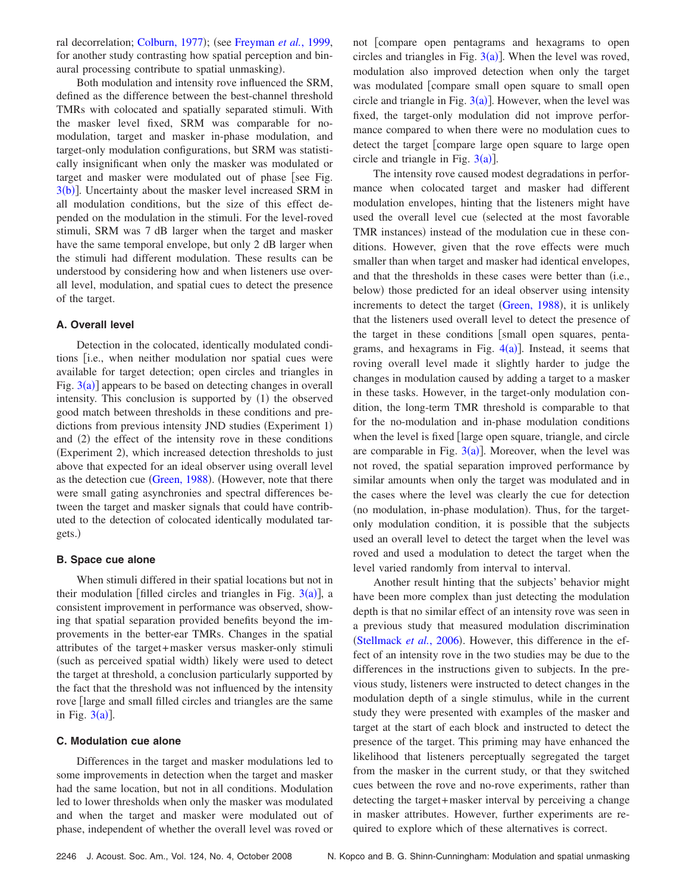ral decorrelation; [Colburn, 1977](#page-13-29)); (see [Freyman](#page-13-30) et al., 1999, for another study contrasting how spatial perception and binaural processing contribute to spatial unmasking).

Both modulation and intensity rove influenced the SRM, defined as the difference between the best-channel threshold TMRs with colocated and spatially separated stimuli. With the masker level fixed, SRM was comparable for nomodulation, target and masker in-phase modulation, and target-only modulation configurations, but SRM was statistically insignificant when only the masker was modulated or target and masker were modulated out of phase [see Fig.  $3(b)$  $3(b)$ ]. Uncertainty about the masker level increased SRM in all modulation conditions, but the size of this effect depended on the modulation in the stimuli. For the level-roved stimuli, SRM was 7 dB larger when the target and masker have the same temporal envelope, but only 2 dB larger when the stimuli had different modulation. These results can be understood by considering how and when listeners use overall level, modulation, and spatial cues to detect the presence of the target.

#### **A. Overall level**

Detection in the colocated, identically modulated conditions [i.e., when neither modulation nor spatial cues were available for target detection; open circles and triangles in Fig.  $3(a)$  $3(a)$ ] appears to be based on detecting changes in overall intensity. This conclusion is supported by (1) the observed good match between thresholds in these conditions and predictions from previous intensity JND studies (Experiment 1) and (2) the effect of the intensity rove in these conditions (Experiment 2), which increased detection thresholds to just above that expected for an ideal observer using overall level as the detection cue ([Green, 1988](#page-13-12)). (However, note that there were small gating asynchronies and spectral differences between the target and masker signals that could have contributed to the detection of colocated identically modulated targets.)

## **B. Space cue alone**

When stimuli differed in their spatial locations but not in their modulation [filled circles and triangles in Fig.  $3(a)$  $3(a)$ ], a consistent improvement in performance was observed, showing that spatial separation provided benefits beyond the improvements in the better-ear TMRs. Changes in the spatial attributes of the target+masker versus masker-only stimuli (such as perceived spatial width) likely were used to detect the target at threshold, a conclusion particularly supported by the fact that the threshold was not influenced by the intensity rove [large and small filled circles and triangles are the same in Fig.  $3(a)$  $3(a)$ ].

## **C. Modulation cue alone**

Differences in the target and masker modulations led to some improvements in detection when the target and masker had the same location, but not in all conditions. Modulation led to lower thresholds when only the masker was modulated and when the target and masker were modulated out of phase, independent of whether the overall level was roved or

not [compare open pentagrams and hexagrams to open circles and triangles in Fig.  $3(a)$  $3(a)$ ]. When the level was roved, modulation also improved detection when only the target was modulated [compare small open square to small open circle and triangle in Fig.  $3(a)$  $3(a)$ ]. However, when the level was fixed, the target-only modulation did not improve performance compared to when there were no modulation cues to detect the target [compare large open square to large open circle and triangle in Fig.  $3(a)$  $3(a)$ ].

The intensity rove caused modest degradations in performance when colocated target and masker had different modulation envelopes, hinting that the listeners might have used the overall level cue (selected at the most favorable TMR instances) instead of the modulation cue in these conditions. However, given that the rove effects were much smaller than when target and masker had identical envelopes, and that the thresholds in these cases were better than (i.e., below) those predicted for an ideal observer using intensity increments to detect the target ([Green, 1988](#page-13-12)), it is unlikely that the listeners used overall level to detect the presence of the target in these conditions [small open squares, pentagrams, and hexagrams in Fig.  $4(a)$  $4(a)$ ]. Instead, it seems that roving overall level made it slightly harder to judge the changes in modulation caused by adding a target to a masker in these tasks. However, in the target-only modulation condition, the long-term TMR threshold is comparable to that for the no-modulation and in-phase modulation conditions when the level is fixed *large* open square, triangle, and circle are comparable in Fig.  $3(a)$  $3(a)$ ]. Moreover, when the level was not roved, the spatial separation improved performance by similar amounts when only the target was modulated and in the cases where the level was clearly the cue for detection (no modulation, in-phase modulation). Thus, for the targetonly modulation condition, it is possible that the subjects used an overall level to detect the target when the level was roved and used a modulation to detect the target when the level varied randomly from interval to interval.

Another result hinting that the subjects' behavior might have been more complex than just detecting the modulation depth is that no similar effect of an intensity rove was seen in a previous study that measured modulation discrimination ([Stellmack](#page-14-13) et al., 2006). However, this difference in the effect of an intensity rove in the two studies may be due to the differences in the instructions given to subjects. In the previous study, listeners were instructed to detect changes in the modulation depth of a single stimulus, while in the current study they were presented with examples of the masker and target at the start of each block and instructed to detect the presence of the target. This priming may have enhanced the likelihood that listeners perceptually segregated the target from the masker in the current study, or that they switched cues between the rove and no-rove experiments, rather than detecting the target+masker interval by perceiving a change in masker attributes. However, further experiments are required to explore which of these alternatives is correct.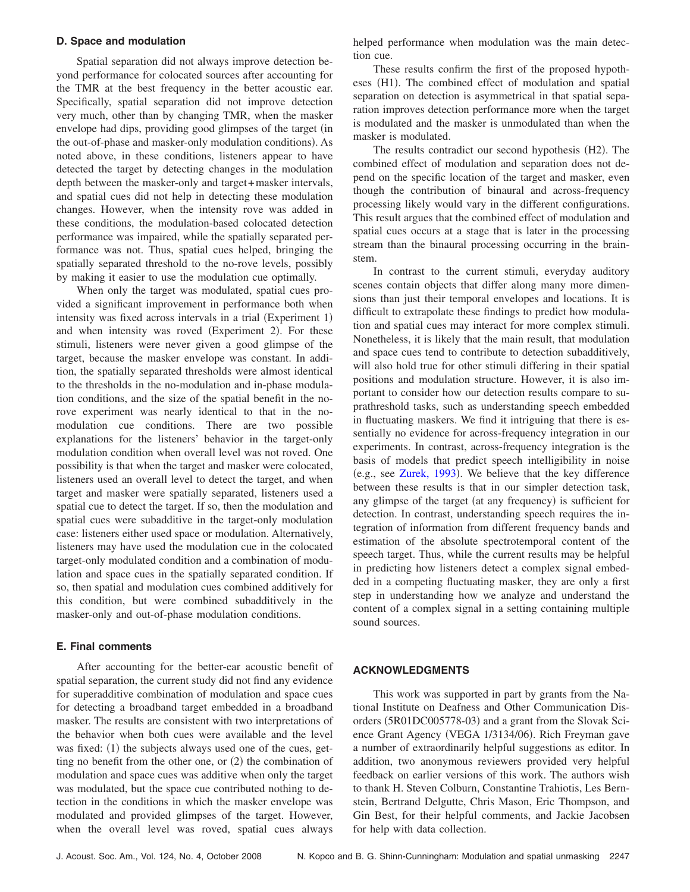#### **D. Space and modulation**

Spatial separation did not always improve detection beyond performance for colocated sources after accounting for the TMR at the best frequency in the better acoustic ear. Specifically, spatial separation did not improve detection very much, other than by changing TMR, when the masker envelope had dips, providing good glimpses of the target (in the out-of-phase and masker-only modulation conditions). As noted above, in these conditions, listeners appear to have detected the target by detecting changes in the modulation depth between the masker-only and target+masker intervals, and spatial cues did not help in detecting these modulation changes. However, when the intensity rove was added in these conditions, the modulation-based colocated detection performance was impaired, while the spatially separated performance was not. Thus, spatial cues helped, bringing the spatially separated threshold to the no-rove levels, possibly by making it easier to use the modulation cue optimally.

When only the target was modulated, spatial cues provided a significant improvement in performance both when intensity was fixed across intervals in a trial (Experiment 1) and when intensity was roved (Experiment 2). For these stimuli, listeners were never given a good glimpse of the target, because the masker envelope was constant. In addition, the spatially separated thresholds were almost identical to the thresholds in the no-modulation and in-phase modulation conditions, and the size of the spatial benefit in the norove experiment was nearly identical to that in the nomodulation cue conditions. There are two possible explanations for the listeners' behavior in the target-only modulation condition when overall level was not roved. One possibility is that when the target and masker were colocated, listeners used an overall level to detect the target, and when target and masker were spatially separated, listeners used a spatial cue to detect the target. If so, then the modulation and spatial cues were subadditive in the target-only modulation case: listeners either used space or modulation. Alternatively, listeners may have used the modulation cue in the colocated target-only modulated condition and a combination of modulation and space cues in the spatially separated condition. If so, then spatial and modulation cues combined additively for this condition, but were combined subadditively in the masker-only and out-of-phase modulation conditions.

## **E. Final comments**

After accounting for the better-ear acoustic benefit of spatial separation, the current study did not find any evidence for superadditive combination of modulation and space cues for detecting a broadband target embedded in a broadband masker. The results are consistent with two interpretations of the behavior when both cues were available and the level was fixed: (1) the subjects always used one of the cues, getting no benefit from the other one, or  $(2)$  the combination of modulation and space cues was additive when only the target was modulated, but the space cue contributed nothing to detection in the conditions in which the masker envelope was modulated and provided glimpses of the target. However, when the overall level was roved, spatial cues always

helped performance when modulation was the main detection cue.

These results confirm the first of the proposed hypotheses (H1). The combined effect of modulation and spatial separation on detection is asymmetrical in that spatial separation improves detection performance more when the target is modulated and the masker is unmodulated than when the masker is modulated.

The results contradict our second hypothesis (H2). The combined effect of modulation and separation does not depend on the specific location of the target and masker, even though the contribution of binaural and across-frequency processing likely would vary in the different configurations. This result argues that the combined effect of modulation and spatial cues occurs at a stage that is later in the processing stream than the binaural processing occurring in the brainstem.

In contrast to the current stimuli, everyday auditory scenes contain objects that differ along many more dimensions than just their temporal envelopes and locations. It is difficult to extrapolate these findings to predict how modulation and spatial cues may interact for more complex stimuli. Nonetheless, it is likely that the main result, that modulation and space cues tend to contribute to detection subadditively, will also hold true for other stimuli differing in their spatial positions and modulation structure. However, it is also important to consider how our detection results compare to suprathreshold tasks, such as understanding speech embedded in fluctuating maskers. We find it intriguing that there is essentially no evidence for across-frequency integration in our experiments. In contrast, across-frequency integration is the basis of models that predict speech intelligibility in noise (e.g., see [Zurek, 1993](#page-14-12)). We believe that the key difference between these results is that in our simpler detection task, any glimpse of the target (at any frequency) is sufficient for detection. In contrast, understanding speech requires the integration of information from different frequency bands and estimation of the absolute spectrotemporal content of the speech target. Thus, while the current results may be helpful in predicting how listeners detect a complex signal embedded in a competing fluctuating masker, they are only a first step in understanding how we analyze and understand the content of a complex signal in a setting containing multiple sound sources.

#### **ACKNOWLEDGMENTS**

This work was supported in part by grants from the National Institute on Deafness and Other Communication Disorders (5R01DC005778-03) and a grant from the Slovak Science Grant Agency (VEGA 1/3134/06). Rich Freyman gave a number of extraordinarily helpful suggestions as editor. In addition, two anonymous reviewers provided very helpful feedback on earlier versions of this work. The authors wish to thank H. Steven Colburn, Constantine Trahiotis, Les Bernstein, Bertrand Delgutte, Chris Mason, Eric Thompson, and Gin Best, for their helpful comments, and Jackie Jacobsen for help with data collection.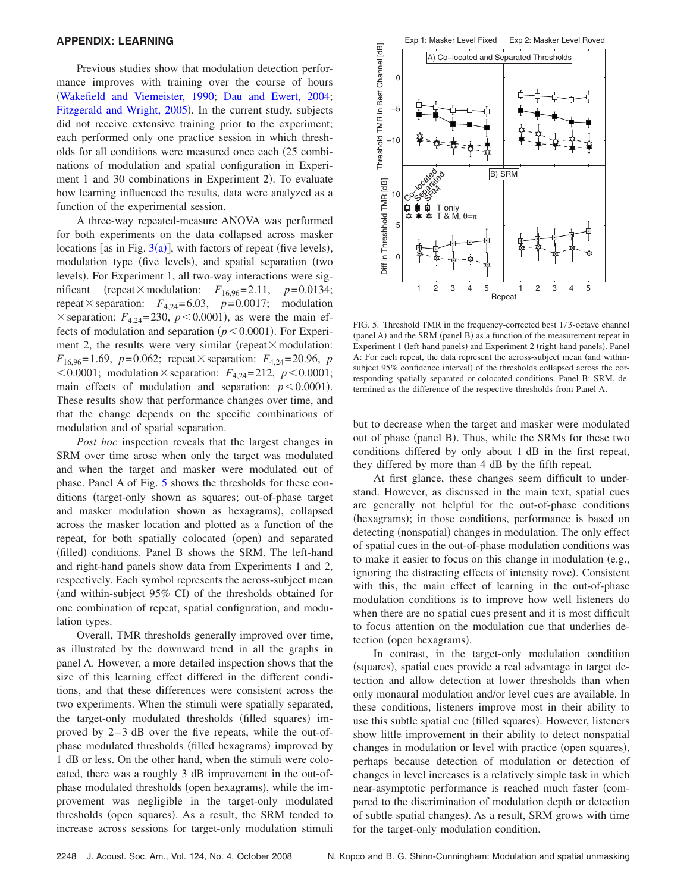#### **APPENDIX: LEARNING**

Previous studies show that modulation detection performance improves with training over the course of hours [Wakefield and Viemeister, 1990;](#page-14-11) [Dau and Ewert, 2004;](#page-13-11) [Fitzgerald and Wright, 2005](#page-13-31)). In the current study, subjects did not receive extensive training prior to the experiment; each performed only one practice session in which thresholds for all conditions were measured once each 25 combinations of modulation and spatial configuration in Experiment 1 and 30 combinations in Experiment 2). To evaluate how learning influenced the results, data were analyzed as a function of the experimental session.

A three-way repeated-measure ANOVA was performed for both experiments on the data collapsed across masker locations [as in Fig.  $3(a)$  $3(a)$ ], with factors of repeat (five levels), modulation type (five levels), and spatial separation (two levels). For Experiment 1, all two-way interactions were significant (repeat×modulation:  $F_{16,96} = 2.11$ ,  $p= 0.0134$ ; repeat  $\times$  separation:  $F_{4,24}$ = 6.03,  $p$ = 0.0017; modulation  $\times$  separation:  $F_{4,24}$ =230,  $p<0.0001$ ), as were the main effects of modulation and separation  $(p < 0.0001)$ . For Experiment 2, the results were very similar (repeat  $\times$  modulation:  $F_{16,96} = 1.69$ ,  $p = 0.062$ ; repeat  $\times$  separation:  $F_{4,24} = 20.96$ ,  $p$  $0.0001$ ; modulation  $\times$  separation:  $F_{4,24} = 212$ ,  $p \le 0.0001$ ; main effects of modulation and separation:  $p < 0.0001$ ). These results show that performance changes over time, and that the change depends on the specific combinations of modulation and of spatial separation.

*Post hoc* inspection reveals that the largest changes in SRM over time arose when only the target was modulated and when the target and masker were modulated out of phase. Panel A of Fig. [5](#page-12-0) shows the thresholds for these conditions (target-only shown as squares; out-of-phase target and masker modulation shown as hexagrams), collapsed across the masker location and plotted as a function of the repeat, for both spatially colocated (open) and separated (filled) conditions. Panel B shows the SRM. The left-hand and right-hand panels show data from Experiments 1 and 2, respectively. Each symbol represents the across-subject mean (and within-subject 95% CI) of the thresholds obtained for one combination of repeat, spatial configuration, and modulation types.

Overall, TMR thresholds generally improved over time, as illustrated by the downward trend in all the graphs in panel A. However, a more detailed inspection shows that the size of this learning effect differed in the different conditions, and that these differences were consistent across the two experiments. When the stimuli were spatially separated, the target-only modulated thresholds (filled squares) improved by  $2-3$  dB over the five repeats, while the out-ofphase modulated thresholds (filled hexagrams) improved by 1 dB or less. On the other hand, when the stimuli were colocated, there was a roughly 3 dB improvement in the out-ofphase modulated thresholds (open hexagrams), while the improvement was negligible in the target-only modulated thresholds (open squares). As a result, the SRM tended to increase across sessions for target-only modulation stimuli

<span id="page-12-0"></span>

FIG. 5. Threshold TMR in the frequency-corrected best 1/3-octave channel (panel A) and the SRM (panel B) as a function of the measurement repeat in Experiment 1 (left-hand panels) and Experiment 2 (right-hand panels). Panel A: For each repeat, the data represent the across-subject mean (and withinsubject 95% confidence interval) of the thresholds collapsed across the corresponding spatially separated or colocated conditions. Panel B: SRM, determined as the difference of the respective thresholds from Panel A.

but to decrease when the target and masker were modulated out of phase (panel B). Thus, while the SRMs for these two conditions differed by only about 1 dB in the first repeat, they differed by more than 4 dB by the fifth repeat.

At first glance, these changes seem difficult to understand. However, as discussed in the main text, spatial cues are generally not helpful for the out-of-phase conditions (hexagrams); in those conditions, performance is based on detecting (nonspatial) changes in modulation. The only effect of spatial cues in the out-of-phase modulation conditions was to make it easier to focus on this change in modulation  $(e.g.,)$ ignoring the distracting effects of intensity rove). Consistent with this, the main effect of learning in the out-of-phase modulation conditions is to improve how well listeners do when there are no spatial cues present and it is most difficult to focus attention on the modulation cue that underlies detection (open hexagrams).

In contrast, in the target-only modulation condition (squares), spatial cues provide a real advantage in target detection and allow detection at lower thresholds than when only monaural modulation and/or level cues are available. In these conditions, listeners improve most in their ability to use this subtle spatial cue (filled squares). However, listeners show little improvement in their ability to detect nonspatial changes in modulation or level with practice (open squares), perhaps because detection of modulation or detection of changes in level increases is a relatively simple task in which near-asymptotic performance is reached much faster (compared to the discrimination of modulation depth or detection of subtle spatial changes). As a result, SRM grows with time for the target-only modulation condition.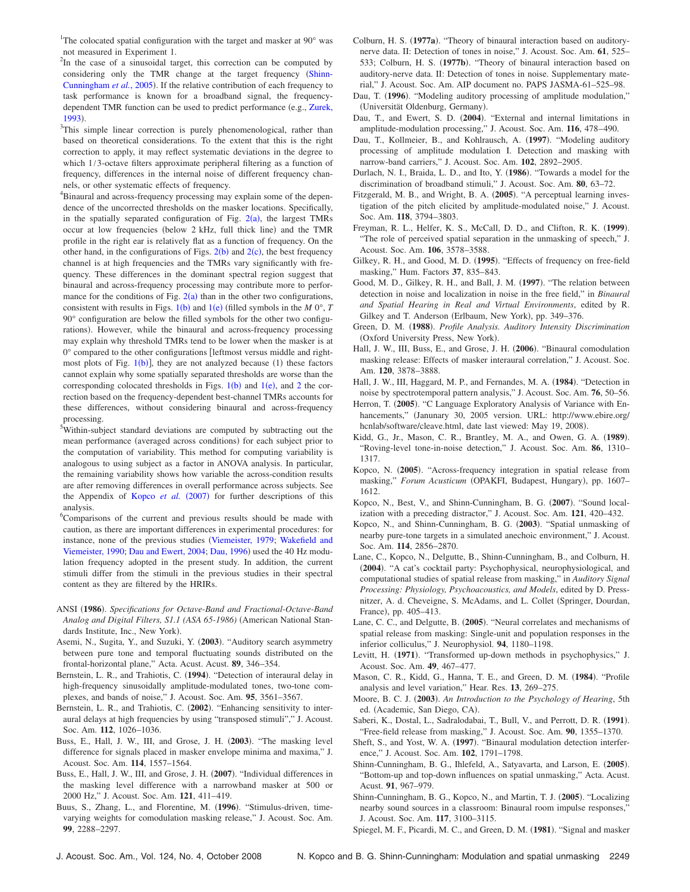<sup>1</sup>The colocated spatial configuration with the target and masker at  $90^\circ$  was not measured in Experiment 1.

<sup>2</sup>In the case of a sinusoidal target, this correction can be computed by considering only the TMR change at the target frequency ([Shinn-](#page-13-32)[Cunningham](#page-13-32) et al., 2005). If the relative contribution of each frequency to task performance is known for a broadband signal, the frequency-dependent TMR function can be used to predict performance (e.g., [Zurek,](#page-14-12) [1993](#page-14-12)).

<sup>3</sup>This simple linear correction is purely phenomenological, rather than based on theoretical considerations. To the extent that this is the right correction to apply, it may reflect systematic deviations in the degree to which 1/3-octave filters approximate peripheral filtering as a function of frequency, differences in the internal noise of different frequency channels, or other systematic effects of frequency.

<sup>4</sup>Binaural and across-frequency processing may explain some of the dependence of the uncorrected thresholds on the masker locations. Specifically, in the spatially separated configuration of Fig.  $2(a)$  $2(a)$ , the largest TMRs occur at low frequencies (below 2 kHz, full thick line) and the TMR profile in the right ear is relatively flat as a function of frequency. On the other hand, in the configurations of Figs.  $2(b)$  $2(b)$  and  $2(c)$ , the best frequency channel is at high frequencies and the TMRs vary significantly with frequency. These differences in the dominant spectral region suggest that binaural and across-frequency processing may contribute more to performance for the conditions of Fig.  $2(a)$  $2(a)$  than in the other two configurations, consistent with results in Figs.  $1(b)$  $1(b)$  and  $1(e)$  (filled symbols in the *M* 0°, *T* 90° configuration are below the filled symbols for the other two configurations). However, while the binaural and across-frequency processing may explain why threshold TMRs tend to be lower when the masker is at  $0^{\circ}$  compared to the other configurations [leftmost versus middle and rightmost plots of Fig.  $1(b)$  $1(b)$ , they are not analyzed because (1) these factors cannot explain why some spatially separated thresholds are worse than the corresponding colocated thresholds in Figs.  $1(b)$  $1(b)$  and  $1(e)$ , and [2](#page-4-0) the correction based on the frequency-dependent best-channel TMRs accounts for these differences, without considering binaural and across-frequency processing.

<sup>5</sup>Within-subject standard deviations are computed by subtracting out the mean performance (averaged across conditions) for each subject prior to the computation of variability. This method for computing variability is analogous to using subject as a factor in ANOVA analysis. In particular, the remaining variability shows how variable the across-condition results are after removing differences in overall performance across subjects. See the Appendix of [Kopco](#page-13-33) et al. (2007) for further descriptions of this analysis.

<sup>6</sup>Comparisons of the current and previous results should be made with caution, as there are important differences in experimental procedures: for instance, none of the previous studies ([Viemeister, 1979;](#page-14-7) [Wakefield and](#page-14-11) [Viemeister, 1990;](#page-14-11) [Dau and Ewert, 2004;](#page-13-11) [Dau, 1996](#page-13-28)) used the 40 Hz modulation frequency adopted in the present study. In addition, the current stimuli differ from the stimuli in the previous studies in their spectral content as they are filtered by the HRIRs.

- <span id="page-13-16"></span>ANSI (1986). Specifications for Octave-Band and Fractional-Octave-Band *Analog and Digital Filters, S1.1 (ASA 65-1986)* American National Standards Institute, Inc., New York).
- <span id="page-13-9"></span>Asemi, N., Sugita, Y., and Suzuki, Y. (2003). "Auditory search asymmetry between pure tone and temporal fluctuating sounds distributed on the frontal-horizontal plane," Acta. Acust. Acust. **89**, 346–354.
- <span id="page-13-7"></span>Bernstein, L. R., and Trahiotis, C. (1994). "Detection of interaural delay in high-frequency sinusoidally amplitude-modulated tones, two-tone complexes, and bands of noise," J. Acoust. Soc. Am. **95**, 3561–3567.
- <span id="page-13-8"></span>Bernstein, L. R., and Trahiotis, C. (2002). "Enhancing sensitivity to interaural delays at high frequencies by using "transposed stimuli"," J. Acoust. Soc. Am. **112**, 1026–1036.
- <span id="page-13-18"></span>Buss, E., Hall, J. W., III, and Grose, J. H. (2003). "The masking level difference for signals placed in masker envelope minima and maxima," J. Acoust. Soc. Am. **114**, 1557–1564.
- <span id="page-13-26"></span>Buss, E., Hall, J. W., III, and Grose, J. H. (2007). "Individual differences in the masking level difference with a narrowband masker at 500 or 2000 Hz," J. Acoust. Soc. Am. **121**, 411–419.
- <span id="page-13-25"></span>Buus, S., Zhang, L., and Florentine, M. (1996). "Stimulus-driven, timevarying weights for comodulation masking release," J. Acoust. Soc. Am. **99**, 2288–2297.
- <span id="page-13-29"></span>Colburn, H. S. (1977a). "Theory of binaural interaction based on auditorynerve data. II: Detection of tones in noise," J. Acoust. Soc. Am. **61**, 525– 533; Colburn, H. S. (1977b). "Theory of binaural interaction based on auditory-nerve data. II: Detection of tones in noise. Supplementary material," J. Acoust. Soc. Am. AIP document no. PAPS JASMA-61–525–98.
- <span id="page-13-28"></span>Dau, T. (1996). "Modeling auditory processing of amplitude modulation," (Universität Oldenburg, Germany).
- <span id="page-13-11"></span>Dau, T., and Ewert, S. D. (2004). "External and internal limitations in amplitude-modulation processing," J. Acoust. Soc. Am. **116**, 478–490.
- <span id="page-13-27"></span>Dau, T., Kollmeier, B., and Kohlrausch, A. (1997). "Modeling auditory processing of amplitude modulation I. Detection and masking with narrow-band carriers," J. Acoust. Soc. Am. **102**, 2892–2905.
- <span id="page-13-23"></span>Durlach, N. I., Braida, L. D., and Ito, Y. (1986). "Towards a model for the discrimination of broadband stimuli," J. Acoust. Soc. Am. **80**, 63–72.
- <span id="page-13-31"></span>Fitzgerald, M. B., and Wright, B. A. (2005). "A perceptual learning investigation of the pitch elicited by amplitude-modulated noise," J. Acoust. Soc. Am. **118**, 3794–3803.
- <span id="page-13-30"></span>Freyman, R. L., Helfer, K. S., McCall, D. D., and Clifton, R. K. (1999). "The role of perceived spatial separation in the unmasking of speech," J. Acoust. Soc. Am. **106**, 3578–3588.
- <span id="page-13-1"></span>Gilkey, R. H., and Good, M. D. (1995). "Effects of frequency on free-field masking," Hum. Factors **37**, 835–843.
- <span id="page-13-2"></span>Good, M. D., Gilkey, R. H., and Ball, J. M. (1997). "The relation between detection in noise and localization in noise in the free field," in *Binaural and Spatial Hearing in Real and Virtual Environments*, edited by R. Gilkey and T. Anderson (Erlbaum, New York), pp. 349-376.
- <span id="page-13-12"></span>Green, D. M. (1988). Profile Analysis. Auditory Intensity Discrimination (Oxford University Press, New York).
- <span id="page-13-5"></span>Hall, J. W., III, Buss, E., and Grose, J. H. (2006). "Binaural comodulation masking release: Effects of masker interaural correlation," J. Acoust. Soc. Am. **120**, 3878–3888.
- <span id="page-13-10"></span>Hall, J. W., III, Haggard, M. P., and Fernandes, M. A. (1984). "Detection in noise by spectrotemporal pattern analysis," J. Acoust. Soc. Am. **76**, 50–56.
- <span id="page-13-19"></span>Herron, T. (2005). "C Language Exploratory Analysis of Variance with Enhancements," (Janunary 30, 2005 version. URL: http://www.ebire.org/ hcnlab/software/cleave.html, date last viewed: May 19, 2008).
- <span id="page-13-21"></span>Kidd, G., Jr., Mason, C. R., Brantley, M. A., and Owen, G. A. (1989). "Roving-level tone-in-noise detection," J. Acoust. Soc. Am. **86**, 1310– 1317.
- <span id="page-13-17"></span>Kopco, N. (2005). "Across-frequency integration in spatial release from masking," Forum Acusticum (OPAKFI, Budapest, Hungary), pp. 1607-1612.
- <span id="page-13-33"></span>Kopco, N., Best, V., and Shinn-Cunningham, B. G. (2007). "Sound localization with a preceding distractor," J. Acoust. Soc. Am. **121**, 420–432.
- <span id="page-13-4"></span>Kopco, N., and Shinn-Cunningham, B. G. (2003). "Spatial unmasking of nearby pure-tone targets in a simulated anechoic environment," J. Acoust. Soc. Am. **114**, 2856–2870.
- <span id="page-13-3"></span>Lane, C., Kopco, N., Delgutte, B., Shinn-Cunningham, B., and Colburn, H. (2004). "A cat's cocktail party: Psychophysical, neurophysiological, and computational studies of spatial release from masking," in *Auditory Signal Processing: Physiology, Psychoacoustics, and Models*, edited by D. Pressnitzer, A. d. Cheveigne, S. McAdams, and L. Collet (Springer, Dourdan, France), pp. 405-413.
- <span id="page-13-13"></span>Lane, C. C., and Delgutte, B. (2005). "Neural correlates and mechanisms of spatial release from masking: Single-unit and population responses in the inferior colliculus," J. Neurophysiol. **94**, 1180–1198.
- <span id="page-13-15"></span>Levitt, H. (1971). "Transformed up-down methods in psychophysics," J. Acoust. Soc. Am. **49**, 467–477.
- <span id="page-13-20"></span>Mason, C. R., Kidd, G., Hanna, T. E., and Green, D. M. (1984). "Profile analysis and level variation," Hear. Res. **13**, 269–275.
- <span id="page-13-22"></span>Moore, B. C. J. (2003). An Introduction to the Psychology of Hearing, 5th ed. (Academic, San Diego, CA).
- <span id="page-13-0"></span>Saberi, K., Dostal, L., Sadralodabai, T., Bull, V., and Perrott, D. R. (1991). "Free-field release from masking," J. Acoust. Soc. Am. **90**, 1355–1370.
- <span id="page-13-6"></span>Sheft, S., and Yost, W. A. (1997). "Binaural modulation detection interference," J. Acoust. Soc. Am. **102**, 1791–1798.
- <span id="page-13-32"></span>Shinn-Cunningham, B. G., Ihlefeld, A., Satyavarta, and Larson, E. (2005). "Bottom-up and top-down influences on spatial unmasking," Acta. Acust. Acust. **91**, 967–979.
- <span id="page-13-14"></span>Shinn-Cunningham, B. G., Kopco, N., and Martin, T. J. (2005). "Localizing nearby sound sources in a classroom: Binaural room impulse responses, J. Acoust. Soc. Am. **117**, 3100–3115.
- <span id="page-13-24"></span>Spiegel, M. F., Picardi, M. C., and Green, D. M. (1981). "Signal and masker